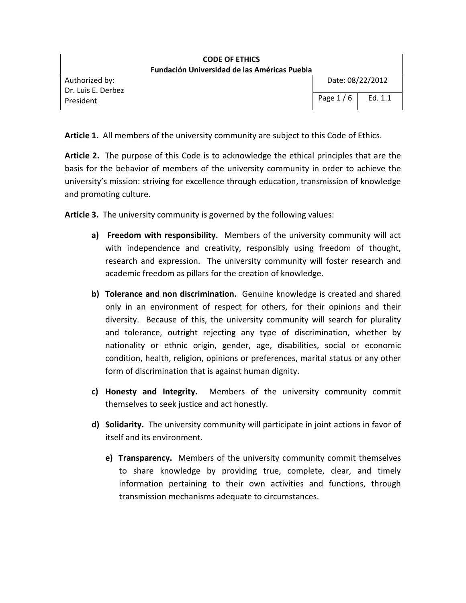| <b>CODE OF ETHICS</b><br><b>Fundación Universidad de las Américas Puebla</b> |            |                  |
|------------------------------------------------------------------------------|------------|------------------|
| Authorized by:<br>Dr. Luis E. Derbez                                         |            | Date: 08/22/2012 |
| President                                                                    | Page $1/6$ | Ed. 1.1          |

Article 1. All members of the university community are subject to this Code of Ethics.

Article 2. The purpose of this Code is to acknowledge the ethical principles that are the basis for the behavior of members of the university community in order to achieve the university's mission: striving for excellence through education, transmission of knowledge and promoting culture.

Article 3. The university community is governed by the following values:

- a) Freedom with responsibility. Members of the university community will act with independence and creativity, responsibly using freedom of thought, research and expression. The university community will foster research and academic freedom as pillars for the creation of knowledge.
- b) Tolerance and non discrimination. Genuine knowledge is created and shared only in an environment of respect for others, for their opinions and their diversity. Because of this, the university community will search for plurality and tolerance, outright rejecting any type of discrimination, whether by nationality or ethnic origin, gender, age, disabilities, social or economic condition, health, religion, opinions or preferences, marital status or any other form of discrimination that is against human dignity.
- c) Honesty and Integrity. Members of the university community commit themselves to seek justice and act honestly.
- d) Solidarity. The university community will participate in joint actions in favor of itself and its environment.
	- e) Transparency. Members of the university community commit themselves to share knowledge by providing true, complete, clear, and timely information pertaining to their own activities and functions, through transmission mechanisms adequate to circumstances.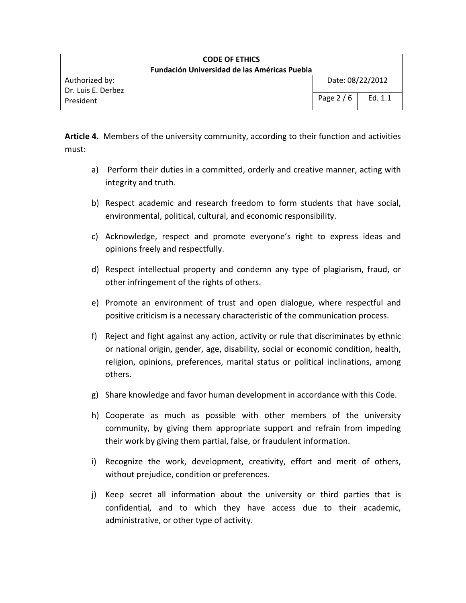| <b>CODE OF ETHICS</b><br><b>Fundación Universidad de las Américas Puebla</b> |                  |         |
|------------------------------------------------------------------------------|------------------|---------|
| Authorized by:<br>Dr. Luis E. Derbez                                         | Date: 08/22/2012 |         |
| President                                                                    | Page $2/6$       | Ed. 1.1 |

Article 4. Members of the university community, according to their function and activities must:

- a) Perform their duties in a committed, orderly and creative manner, acting with integrity and truth.
- b) Respect academic and research freedom to form students that have social, environmental, political, cultural, and economic responsibility.
- c) Acknowledge, respect and promote everyone's right to express ideas and opinions freely and respectfully.
- d) Respect intellectual property and condemn any type of plagiarism, fraud, or other infringement of the rights of others.
- e) Promote an environment of trust and open dialogue, where respectful and positive criticism is a necessary characteristic of the communication process.
- f) Reject and fight against any action, activity or rule that discriminates by ethnic or national origin, gender, age, disability, social or economic condition, health, religion, opinions, preferences, marital status or political inclinations, among others.
- g) Share knowledge and favor human development in accordance with this Code.
- h) Cooperate as much as possible with other members of the university community, by giving them appropriate support and refrain from impeding their work by giving them partial, false, or fraudulent information.
- i) Recognize the work, development, creativity, effort and merit of others, without prejudice, condition or preferences.
- j) Keep secret all information about the university or third parties that is confidential, and to which they have access due to their academic, administrative, or other type of activity.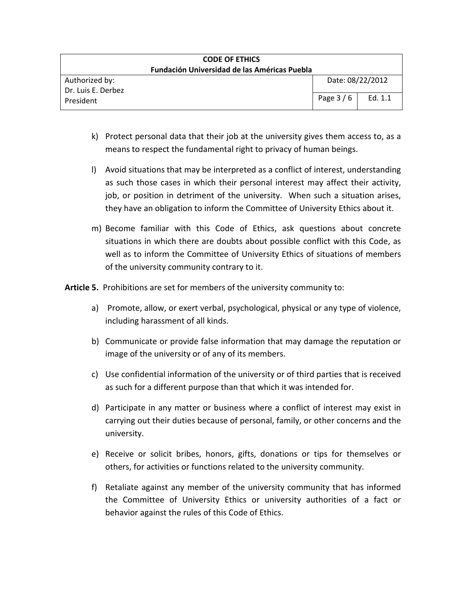| <b>CODE OF ETHICS</b><br><b>Fundación Universidad de las Américas Puebla</b> |            |                  |
|------------------------------------------------------------------------------|------------|------------------|
| Authorized by:<br>Dr. Luis E. Derbez                                         |            | Date: 08/22/2012 |
| President                                                                    | Page $3/6$ | Ed. $1.1$        |

- k) Protect personal data that their job at the university gives them access to, as a means to respect the fundamental right to privacy of human beings.
- l) Avoid situations that may be interpreted as a conflict of interest, understanding as such those cases in which their personal interest may affect their activity, job, or position in detriment of the university. When such a situation arises, they have an obligation to inform the Committee of University Ethics about it.
- m) Become familiar with this Code of Ethics, ask questions about concrete situations in which there are doubts about possible conflict with this Code, as well as to inform the Committee of University Ethics of situations of members of the university community contrary to it.

Article 5. Prohibitions are set for members of the university community to:

- a) Promote, allow, or exert verbal, psychological, physical or any type of violence, including harassment of all kinds.
- b) Communicate or provide false information that may damage the reputation or image of the university or of any of its members.
- c) Use confidential information of the university or of third parties that is received as such for a different purpose than that which it was intended for.
- d) Participate in any matter or business where a conflict of interest may exist in carrying out their duties because of personal, family, or other concerns and the university.
- e) Receive or solicit bribes, honors, gifts, donations or tips for themselves or others, for activities or functions related to the university community.
- f) Retaliate against any member of the university community that has informed the Committee of University Ethics or university authorities of a fact or behavior against the rules of this Code of Ethics.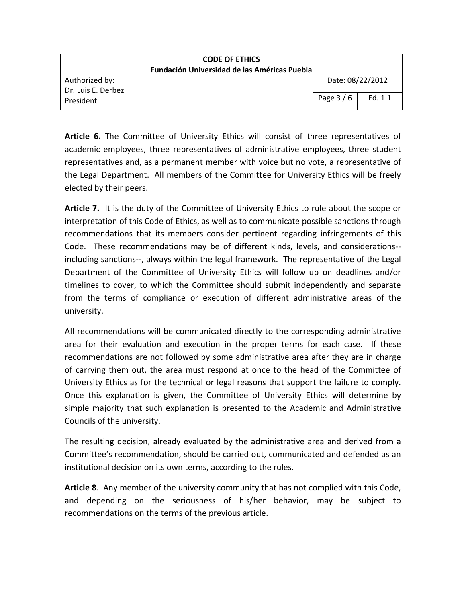| <b>CODE OF ETHICS</b><br><b>Fundación Universidad de las Américas Puebla</b> |                  |           |
|------------------------------------------------------------------------------|------------------|-----------|
| Authorized by:<br>Dr. Luis E. Derbez                                         | Date: 08/22/2012 |           |
| President                                                                    | Page $3/6$       | Ed. $1.1$ |

Article 6. The Committee of University Ethics will consist of three representatives of academic employees, three representatives of administrative employees, three student representatives and, as a permanent member with voice but no vote, a representative of the Legal Department. All members of the Committee for University Ethics will be freely elected by their peers.

Article 7. It is the duty of the Committee of University Ethics to rule about the scope or interpretation of this Code of Ethics, as well as to communicate possible sanctions through recommendations that its members consider pertinent regarding infringements of this Code. These recommendations may be of different kinds, levels, and considerations- including sanctions--, always within the legal framework. The representative of the Legal Department of the Committee of University Ethics will follow up on deadlines and/or timelines to cover, to which the Committee should submit independently and separate from the terms of compliance or execution of different administrative areas of the university.

All recommendations will be communicated directly to the corresponding administrative area for their evaluation and execution in the proper terms for each case. If these recommendations are not followed by some administrative area after they are in charge of carrying them out, the area must respond at once to the head of the Committee of University Ethics as for the technical or legal reasons that support the failure to comply. Once this explanation is given, the Committee of University Ethics will determine by simple majority that such explanation is presented to the Academic and Administrative Councils of the university.

The resulting decision, already evaluated by the administrative area and derived from a Committee's recommendation, should be carried out, communicated and defended as an institutional decision on its own terms, according to the rules.

Article 8. Any member of the university community that has not complied with this Code, and depending on the seriousness of his/her behavior, may be subject to recommendations on the terms of the previous article.